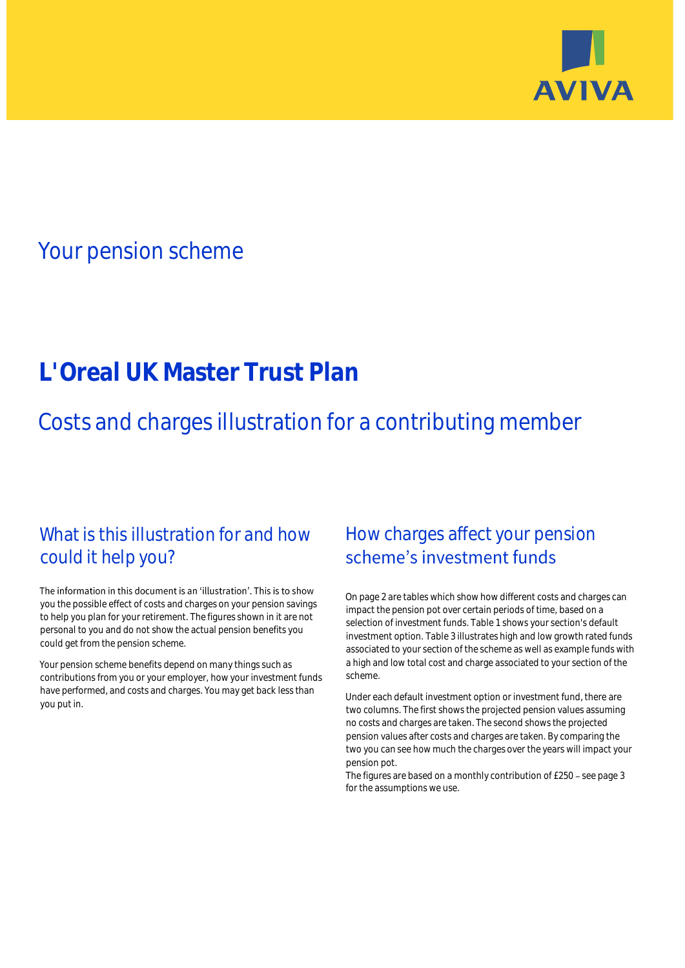

## Your pension scheme

# **L'Oreal UK Master Trust Plan**

Costs and charges illustration for a contributing member

### What is this illustration for and how could it help you?

#### The information in this document is an 'illustration'. This is to show you the possible effect of costs and charges on your pension savings to help you plan for your retirement. The figures shown in it are not personal to you and do not show the actual pension benefits you could get from the pension scheme.

Your pension scheme benefits depend on many things such as contributions from you or your employer, how your investment funds have performed, and costs and charges. You may get back less than you put in.

### How charges affect your pension scheme's investment funds

On page 2 are tables which show how different costs and charges can impact the pension pot over certain periods of time, based on a selection of investment funds. Table 1 shows your section's default investment option. Table 3 illustrates high and low growth rated funds associated to your section of the scheme as well as example funds with a high and low total cost and charge associated to your section of the scheme.

Under each default investment option or investment fund, there are two columns. The first shows the projected pension values assuming no costs and charges are taken. The second shows the projected pension values after costs and charges are taken. By comparing the two you can see how much the charges over the years will impact your pension pot.

The figures are based on a monthly contribution of  $£250 -$  see page 3 for the assumptions we use.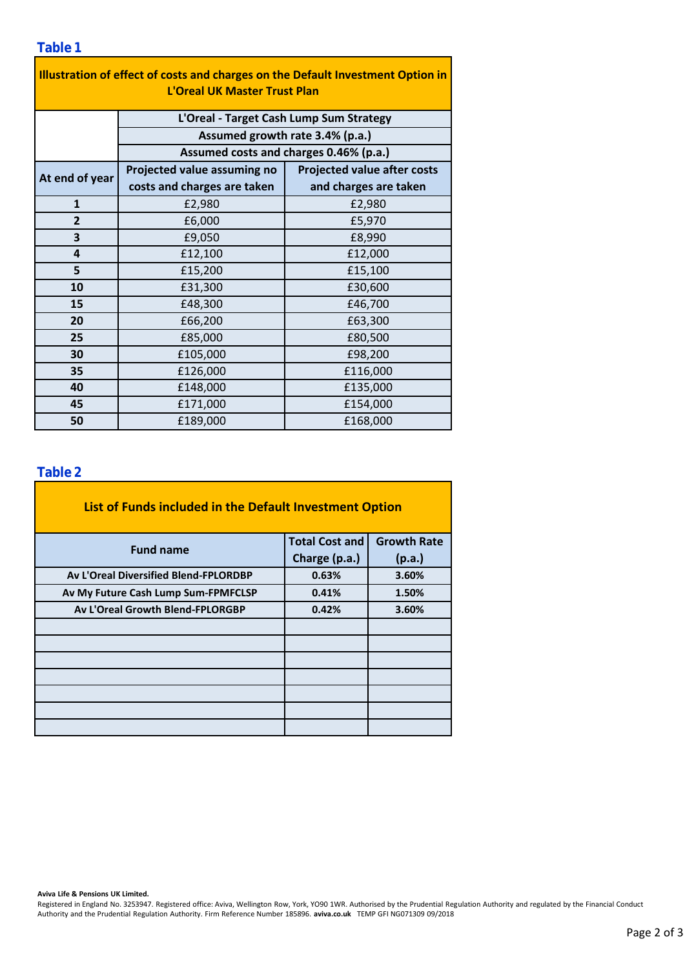| Illustration of effect of costs and charges on the Default Investment Option in<br><b>L'Oreal UK Master Trust Plan</b> |                                                                           |                                    |  |  |  |  |  |
|------------------------------------------------------------------------------------------------------------------------|---------------------------------------------------------------------------|------------------------------------|--|--|--|--|--|
|                                                                                                                        | L'Oreal - Target Cash Lump Sum Strategy                                   |                                    |  |  |  |  |  |
|                                                                                                                        | Assumed growth rate 3.4% (p.a.)<br>Assumed costs and charges 0.46% (p.a.) |                                    |  |  |  |  |  |
|                                                                                                                        |                                                                           |                                    |  |  |  |  |  |
| At end of year                                                                                                         | Projected value assuming no                                               | <b>Projected value after costs</b> |  |  |  |  |  |
|                                                                                                                        | costs and charges are taken                                               | and charges are taken              |  |  |  |  |  |
| $\mathbf{1}$                                                                                                           | £2,980                                                                    | £2,980                             |  |  |  |  |  |
| $\overline{2}$                                                                                                         | £6,000                                                                    | £5,970                             |  |  |  |  |  |
| 3                                                                                                                      | £9,050                                                                    | £8,990                             |  |  |  |  |  |
| 4                                                                                                                      | £12,100                                                                   | £12,000                            |  |  |  |  |  |
| 5                                                                                                                      | £15,200                                                                   | £15,100                            |  |  |  |  |  |
| 10                                                                                                                     | £31,300                                                                   | £30,600                            |  |  |  |  |  |
| 15                                                                                                                     | £48,300                                                                   | £46,700                            |  |  |  |  |  |
| 20                                                                                                                     | £66,200                                                                   | £63,300                            |  |  |  |  |  |
| 25                                                                                                                     | £85,000                                                                   | £80,500                            |  |  |  |  |  |
| 30                                                                                                                     | £105,000                                                                  | £98,200                            |  |  |  |  |  |
| 35                                                                                                                     | £126,000                                                                  | £116,000                           |  |  |  |  |  |
| 40                                                                                                                     | £148,000                                                                  | £135,000                           |  |  |  |  |  |
| 45                                                                                                                     | £171,000                                                                  | £154,000                           |  |  |  |  |  |
| 50                                                                                                                     | £189,000                                                                  | £168,000                           |  |  |  |  |  |

### **Table 2**

| List of Funds included in the Default Investment Option |                       |                    |  |  |
|---------------------------------------------------------|-----------------------|--------------------|--|--|
| <b>Fund name</b>                                        | <b>Total Cost and</b> | <b>Growth Rate</b> |  |  |
|                                                         | Charge (p.a.)         | (p.a.)             |  |  |
| Av L'Oreal Diversified Blend-FPLORDBP                   | 0.63%                 | 3.60%              |  |  |
| Av My Future Cash Lump Sum-FPMFCLSP                     | 0.41%                 | 1.50%              |  |  |
| <b>Av L'Oreal Growth Blend-FPLORGBP</b>                 | 0.42%                 | 3.60%              |  |  |
|                                                         |                       |                    |  |  |
|                                                         |                       |                    |  |  |
|                                                         |                       |                    |  |  |
|                                                         |                       |                    |  |  |
|                                                         |                       |                    |  |  |
|                                                         |                       |                    |  |  |
|                                                         |                       |                    |  |  |

#### **Aviva Life & Pensions UK Limited.**

Registered in England No. 3253947. Registered office: Aviva, Wellington Row, York, YO90 1WR. Authorised by the Prudential Regulation Authority and regulated by the Financial Conduct Authority and the Prudential Regulation Authority. Firm Reference Number 185896. **aviva.co.uk** TEMP GFI NG071309 09/2018